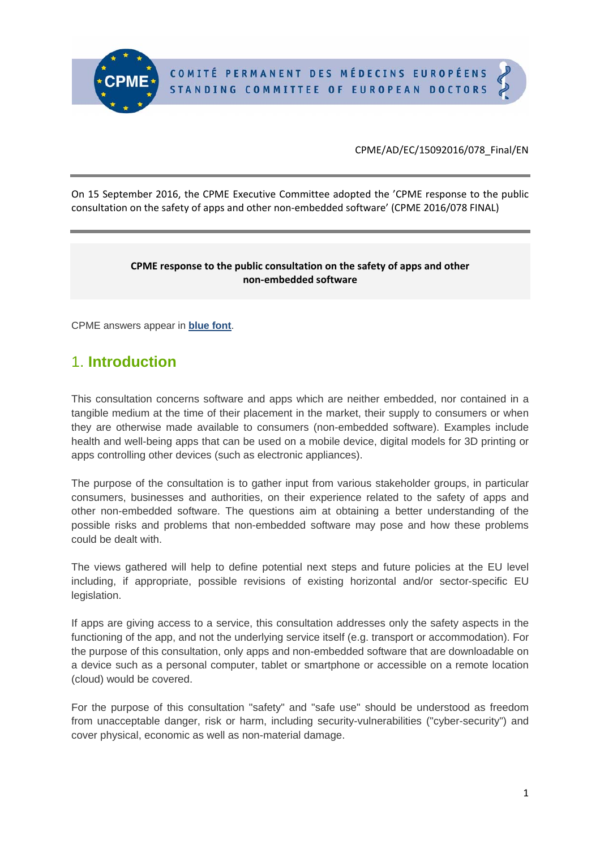On 15 September 2016, the CPME Executive Committee adopted the 'CPME response to the public consultation on the safety of apps and other non-embedded software' (CPME 2016/078 FINAL)

#### **CPME response to the public consultation on the safety of apps and other non‐embedded software**

CPME answers appear in **blue font**.

# 1. **Introduction**

This consultation concerns software and apps which are neither embedded, nor contained in a tangible medium at the time of their placement in the market, their supply to consumers or when they are otherwise made available to consumers (non-embedded software). Examples include health and well-being apps that can be used on a mobile device, digital models for 3D printing or apps controlling other devices (such as electronic appliances).

The purpose of the consultation is to gather input from various stakeholder groups, in particular consumers, businesses and authorities, on their experience related to the safety of apps and other non-embedded software. The questions aim at obtaining a better understanding of the possible risks and problems that non-embedded software may pose and how these problems could be dealt with.

The views gathered will help to define potential next steps and future policies at the EU level including, if appropriate, possible revisions of existing horizontal and/or sector-specific EU legislation.

If apps are giving access to a service, this consultation addresses only the safety aspects in the functioning of the app, and not the underlying service itself (e.g. transport or accommodation). For the purpose of this consultation, only apps and non-embedded software that are downloadable on a device such as a personal computer, tablet or smartphone or accessible on a remote location (cloud) would be covered.

For the purpose of this consultation "safety" and "safe use" should be understood as freedom from unacceptable danger, risk or harm, including security-vulnerabilities ("cyber-security") and cover physical, economic as well as non-material damage.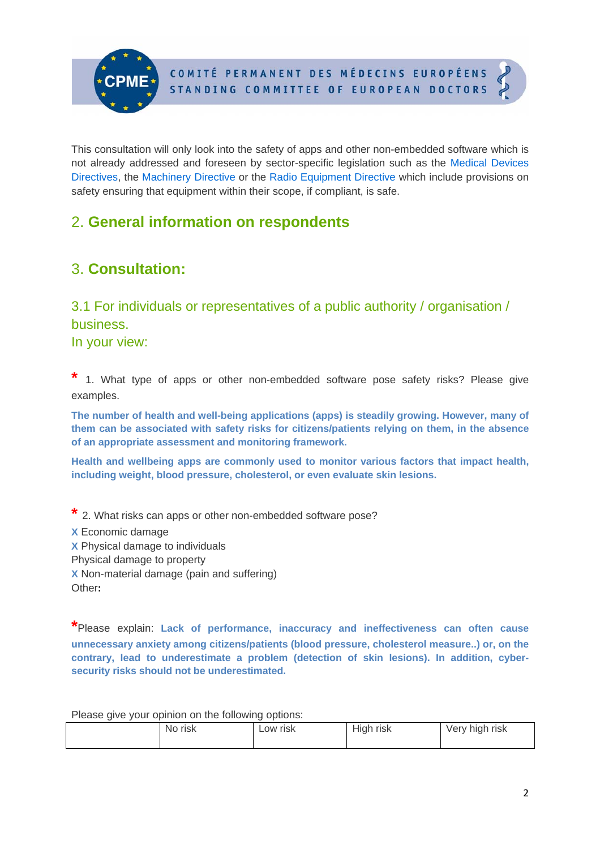This consultation will only look into the safety of apps and other non-embedded software which is not already addressed and foreseen by sector-specific legislation such as the Medical Devices Directives, the Machinery Directive or the Radio Equipment Directive which include provisions on safety ensuring that equipment within their scope, if compliant, is safe.

# 2. **General information on respondents**

# 3. **Consultation:**

## 3.1 For individuals or representatives of a public authority / organisation / business.

In your view:

1. What type of apps or other non-embedded software pose safety risks? Please give examples.

**The number of health and well-being applications (apps) is steadily growing. However, many of them can be associated with safety risks for citizens/patients relying on them, in the absence of an appropriate assessment and monitoring framework.** 

**Health and wellbeing apps are commonly used to monitor various factors that impact health, including weight, blood pressure, cholesterol, or even evaluate skin lesions.** 

**\*** 2. What risks can apps or other non-embedded software pose? **X** Economic damage **X** Physical damage to individuals Physical damage to property **X** Non-material damage (pain and suffering) Other**:** 

**\***Please explain: **Lack of performance, inaccuracy and ineffectiveness can often cause unnecessary anxiety among citizens/patients (blood pressure, cholesterol measure..) or, on the contrary, lead to underestimate a problem (detection of skin lesions). In addition, cybersecurity risks should not be underestimated.** 

Please give your opinion on the following options:

| <b>No</b><br>risk | Low risk | $\cdots$<br>High risk | risk<br>hiah<br>Verv<br>ັ |
|-------------------|----------|-----------------------|---------------------------|
|-------------------|----------|-----------------------|---------------------------|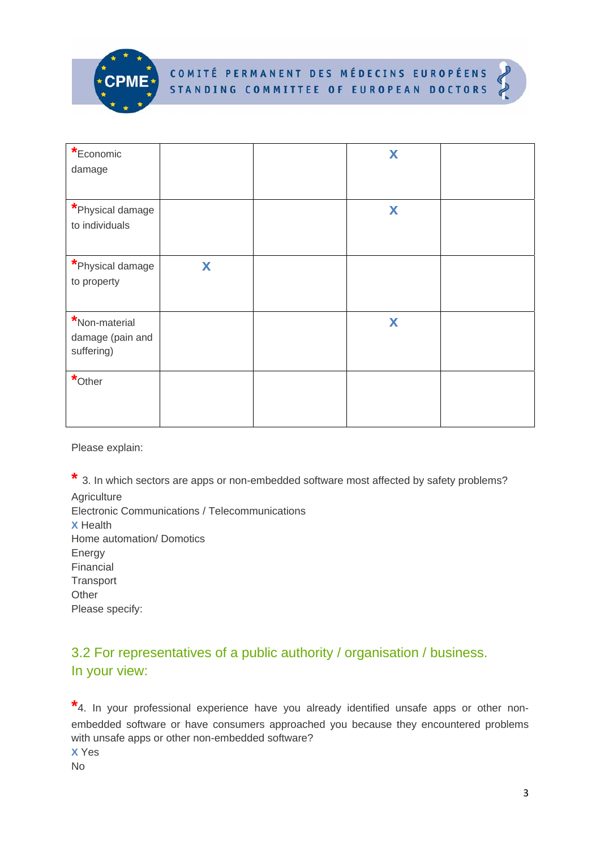



| *Economic<br>damage                             |   | X |  |
|-------------------------------------------------|---|---|--|
| *Physical damage<br>to individuals              |   | X |  |
| *Physical damage<br>to property                 | X |   |  |
| *Non-material<br>damage (pain and<br>suffering) |   | X |  |
| $*$ Other                                       |   |   |  |

Please explain:

**\*** 3. In which sectors are apps or non-embedded software most affected by safety problems? **Agriculture** Electronic Communications / Telecommunications **X** Health Home automation/ Domotics Energy Financial **Transport Other** Please specify:

## 3.2 For representatives of a public authority / organisation / business. In your view:

**\***4. In your professional experience have you already identified unsafe apps or other nonembedded software or have consumers approached you because they encountered problems with unsafe apps or other non-embedded software?

**X** Yes No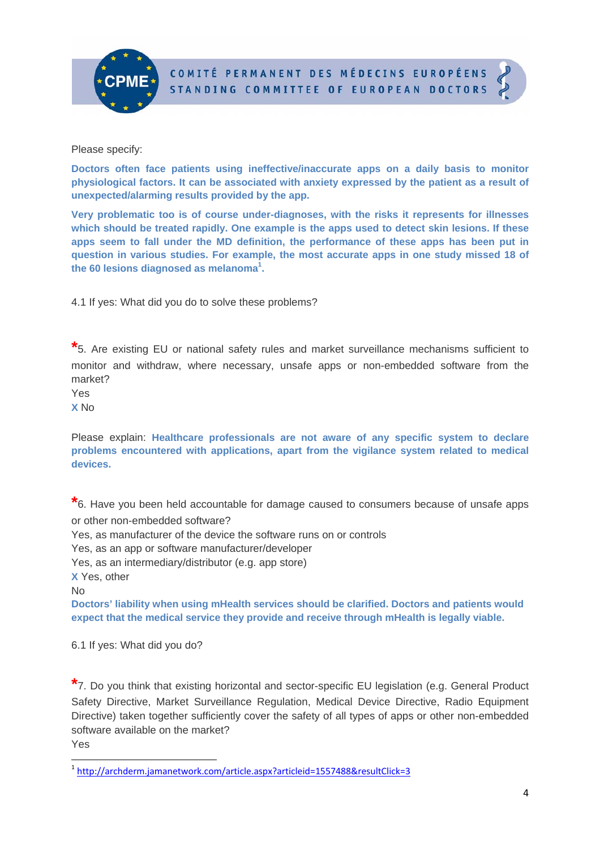



Please specify:

**Doctors often face patients using ineffective/inaccurate apps on a daily basis to monitor physiological factors. It can be associated with anxiety expressed by the patient as a result of unexpected/alarming results provided by the app.** 

**Very problematic too is of course under-diagnoses, with the risks it represents for illnesses which should be treated rapidly. One example is the apps used to detect skin lesions. If these apps seem to fall under the MD definition, the performance of these apps has been put in question in various studies. For example, the most accurate apps in one study missed 18 of the 60 lesions diagnosed as melanoma<sup>1</sup> .** 

4.1 If yes: What did you do to solve these problems?

**\***5. Are existing EU or national safety rules and market surveillance mechanisms sufficient to monitor and withdraw, where necessary, unsafe apps or non-embedded software from the market?

Yes

**X** No

Please explain: **Healthcare professionals are not aware of any specific system to declare problems encountered with applications, apart from the vigilance system related to medical devices.**

**\***6. Have you been held accountable for damage caused to consumers because of unsafe apps or other non-embedded software?

Yes, as manufacturer of the device the software runs on or controls

Yes, as an app or software manufacturer/developer

Yes, as an intermediary/distributor (e.g. app store)

**X** Yes, other

No

**Doctors' liability when using mHealth services should be clarified. Doctors and patients would expect that the medical service they provide and receive through mHealth is legally viable.** 

6.1 If yes: What did you do?

**\***7. Do you think that existing horizontal and sector-specific EU legislation (e.g. General Product Safety Directive, Market Surveillance Regulation, Medical Device Directive, Radio Equipment Directive) taken together sufficiently cover the safety of all types of apps or other non-embedded software available on the market?

Yes

<sup>1</sup> http://archderm.jamanetwork.com/article.aspx?articleid=1557488&resultClick=3